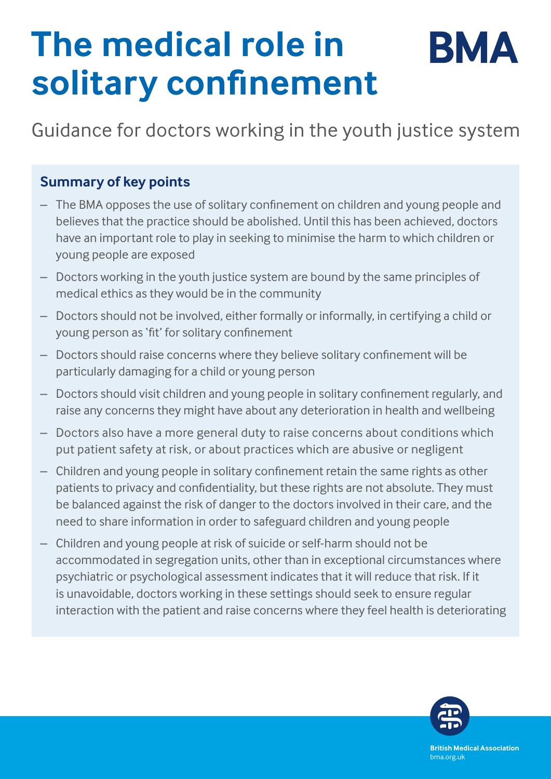# **The medical role in**  BMA **solitary confinement**

Guidance for doctors working in the youth justice system

## **Summary of key points**

- The BMA opposes the use of solitary confinement on children and young people and believes that the practice should be abolished. Until this has been achieved, doctors have an important role to play in seeking to minimise the harm to which children or young people are exposed
- Doctors working in the youth justice system are bound by the same principles of medical ethics as they would be in the community
- Doctors should not be involved, either formally or informally, in certifying a child or young person as 'fit' for solitary confinement
- Doctors should raise concerns where they believe solitary confinement will be particularly damaging for a child or young person
- Doctors should visit children and young people in solitary confinement regularly, and raise any concerns they might have about any deterioration in health and wellbeing
- Doctors also have a more general duty to raise concerns about conditions which put patient safety at risk, or about practices which are abusive or negligent
- Children and young people in solitary confinement retain the same rights as other patients to privacy and confidentiality, but these rights are not absolute. They must be balanced against the risk of danger to the doctors involved in their care, and the need to share information in order to safeguard children and young people
- Children and young people at risk of suicide or self-harm should not be accommodated in segregation units, other than in exceptional circumstances where psychiatric or psychological assessment indicates that it will reduce that risk. If it is unavoidable, doctors working in these settings should seek to ensure regular interaction with the patient and raise concerns where they feel health is deteriorating

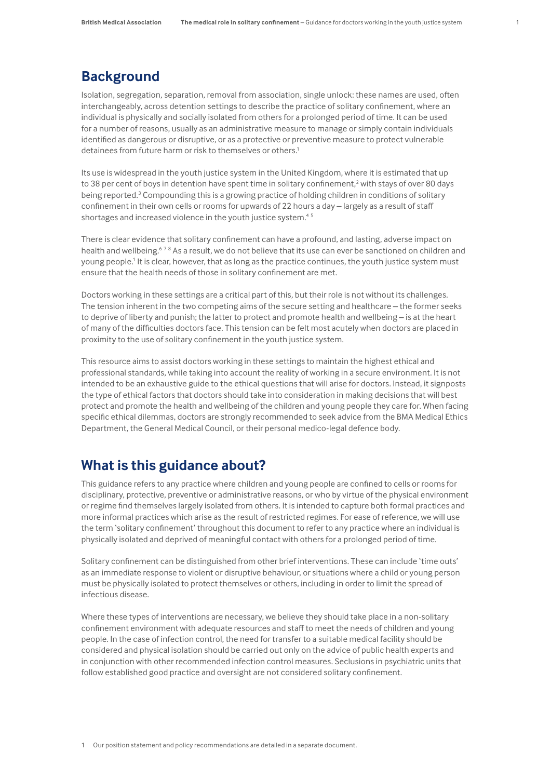#### **Background**

Isolation, segregation, separation, removal from association, single unlock: these names are used, often interchangeably, across detention settings to describe the practice of solitary confinement, where an individual is physically and socially isolated from others for a prolonged period of time. It can be used for a number of reasons, usually as an administrative measure to manage or simply contain individuals identified as dangerous or disruptive, or as a protective or preventive measure to protect vulnerable detainees from future harm or risk to themselves or others.<sup>1</sup>

Its use is widespread in the youth justice system in the United Kingdom, where it is estimated that up to 38 per cent of boys in detention have spent time in solitary confinement,<sup>2</sup> with stays of over 80 days being reported.<sup>3</sup> Compounding this is a growing practice of holding children in conditions of solitary confinement in their own cells or rooms for upwards of 22 hours a day – largely as a result of staff shortages and increased violence in the youth justice system.<sup>45</sup>

There is clear evidence that solitary confinement can have a profound, and lasting, adverse impact on health and wellbeing.<sup>678</sup> As a result, we do not believe that its use can ever be sanctioned on children and young people.1 It is clear, however, that as long as the practice continues, the youth justice system must ensure that the health needs of those in solitary confinement are met.

Doctors working in these settings are a critical part of this, but their role is not without its challenges. The tension inherent in the two competing aims of the secure setting and healthcare – the former seeks to deprive of liberty and punish; the latter to protect and promote health and wellbeing – is at the heart of many of the difficulties doctors face. This tension can be felt most acutely when doctors are placed in proximity to the use of solitary confinement in the youth justice system.

This resource aims to assist doctors working in these settings to maintain the highest ethical and professional standards, while taking into account the reality of working in a secure environment. It is not intended to be an exhaustive guide to the ethical questions that will arise for doctors. Instead, it signposts the type of ethical factors that doctors should take into consideration in making decisions that will best protect and promote the health and wellbeing of the children and young people they care for. When facing specific ethical dilemmas, doctors are strongly recommended to seek advice from the BMA Medical Ethics Department, the General Medical Council, or their personal medico-legal defence body.

#### **What is this guidance about?**

This guidance refers to any practice where children and young people are confined to cells or rooms for disciplinary, protective, preventive or administrative reasons, or who by virtue of the physical environment or regime find themselves largely isolated from others. It is intended to capture both formal practices and more informal practices which arise as the result of restricted regimes. For ease of reference, we will use the term 'solitary confinement' throughout this document to refer to any practice where an individual is physically isolated and deprived of meaningful contact with others for a prolonged period of time.

Solitary confinement can be distinguished from other brief interventions. These can include 'time outs' as an immediate response to violent or disruptive behaviour, or situations where a child or young person must be physically isolated to protect themselves or others, including in order to limit the spread of infectious disease.

Where these types of interventions are necessary, we believe they should take place in a non-solitary confinement environment with adequate resources and staff to meet the needs of children and young people. In the case of infection control, the need for transfer to a suitable medical facility should be considered and physical isolation should be carried out only on the advice of public health experts and in conjunction with other recommended infection control measures. Seclusions in psychiatric units that follow established good practice and oversight are not considered solitary confinement.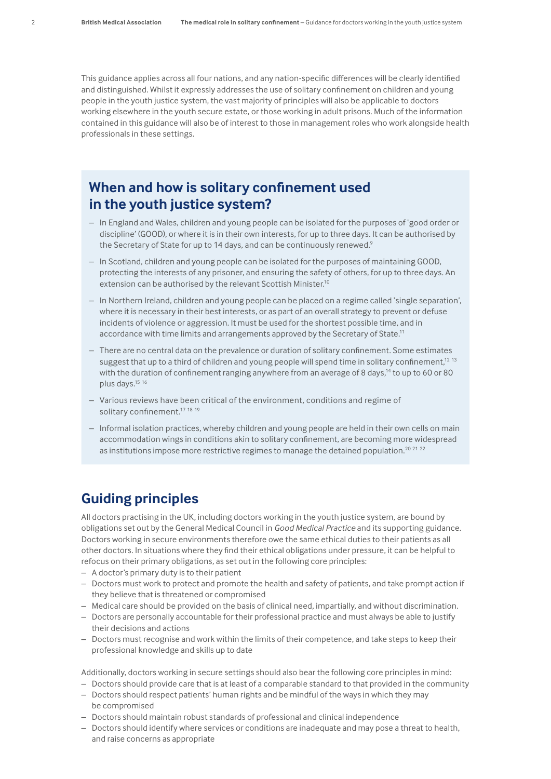This guidance applies across all four nations, and any nation-specific differences will be clearly identified and distinguished. Whilst it expressly addresses the use of solitary confinement on children and young people in the youth justice system, the vast majority of principles will also be applicable to doctors working elsewhere in the youth secure estate, or those working in adult prisons. Much of the information contained in this guidance will also be of interest to those in management roles who work alongside health professionals in these settings.

#### **When and how is solitary confinement used in the youth justice system?**

- In England and Wales, children and young people can be isolated for the purposes of 'good order or discipline' (GOOD), or where it is in their own interests, for up to three days. It can be authorised by the Secretary of State for up to 14 days, and can be continuously renewed.<sup>9</sup>
- In Scotland, children and young people can be isolated for the purposes of maintaining GOOD, protecting the interests of any prisoner, and ensuring the safety of others, for up to three days. An extension can be authorised by the relevant Scottish Minister.10
- In Northern Ireland, children and young people can be placed on a regime called 'single separation', where it is necessary in their best interests, or as part of an overall strategy to prevent or defuse incidents of violence or aggression. It must be used for the shortest possible time, and in accordance with time limits and arrangements approved by the Secretary of State.11
- There are no central data on the prevalence or duration of solitary confinement. Some estimates suggest that up to a third of children and young people will spend time in solitary confinement,<sup>12 13</sup> with the duration of confinement ranging anywhere from an average of 8 days,<sup>14</sup> to up to 60 or 80 plus days.<sup>15</sup> 16
- Various reviews have been critical of the environment, conditions and regime of solitary confinement.<sup>17</sup> <sup>18</sup> <sup>19</sup>
- Informal isolation practices, whereby children and young people are held in their own cells on main accommodation wings in conditions akin to solitary confinement, are becoming more widespread as institutions impose more restrictive regimes to manage the detained population.<sup>20</sup> 21 22

#### **Guiding principles**

All doctors practising in the UK, including doctors working in the youth justice system, are bound by obligations set out by the General Medical Council in *Good Medical Practice* and its supporting guidance. Doctors working in secure environments therefore owe the same ethical duties to their patients as all other doctors. In situations where they find their ethical obligations under pressure, it can be helpful to refocus on their primary obligations, as set out in the following core principles:

- A doctor's primary duty is to their patient
- Doctors must work to protect and promote the health and safety of patients, and take prompt action if they believe that is threatened or compromised
- Medical care should be provided on the basis of clinical need, impartially, and without discrimination.
- Doctors are personally accountable for their professional practice and must always be able to justify their decisions and actions
- Doctors must recognise and work within the limits of their competence, and take steps to keep their professional knowledge and skills up to date

Additionally, doctors working in secure settings should also bear the following core principles in mind:

- Doctors should provide care that is at least of a comparable standard to that provided in the community
- Doctors should respect patients' human rights and be mindful of the ways in which they may be compromised
- Doctors should maintain robust standards of professional and clinical independence
- Doctors should identify where services or conditions are inadequate and may pose a threat to health, and raise concerns as appropriate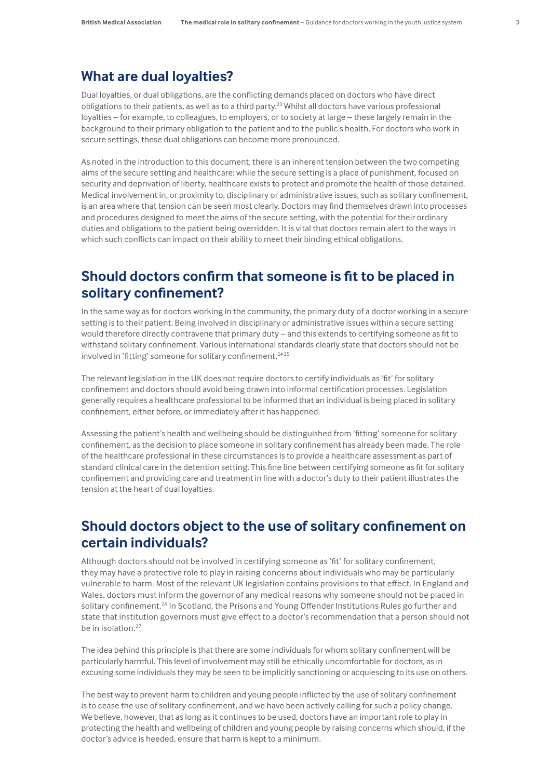#### **What are dual loyalties?**

Dual loyalties, or dual obligations, are the conflicting demands placed on doctors who have direct obligations to their patients, as well as to a third party.<sup>23</sup> Whilst all doctors have various professional loyalties – for example, to colleagues, to employers, or to society at large – these largely remain in the background to their primary obligation to the patient and to the public's health. For doctors who work in secure settings, these dual obligations can become more pronounced.

As noted in the introduction to this document, there is an inherent tension between the two competing aims of the secure setting and healthcare: while the secure setting is a place of punishment, focused on security and deprivation of liberty, healthcare exists to protect and promote the health of those detained. Medical involvement in, or proximity to, disciplinary or administrative issues, such as solitary confinement, is an area where that tension can be seen most clearly. Doctors may find themselves drawn into processes and procedures designed to meet the aims of the secure setting, with the potential for their ordinary duties and obligations to the patient being overridden. It is vital that doctors remain alert to the ways in which such conflicts can impact on their ability to meet their binding ethical obligations.

#### **Should doctors confirm that someone is fit to be placed in solitary confinement?**

In the same way as for doctors working in the community, the primary duty of a doctor working in a secure setting is to their patient. Being involved in disciplinary or administrative issues within a secure setting would therefore directly contravene that primary duty – and this extends to certifying someone as fit to withstand solitary confinement. Various international standards clearly state that doctors should not be involved in 'fitting' someone for solitary confinement.<sup>24 25</sup>

The relevant legislation in the UK does not require doctors to certify individuals as 'fit' for solitary confinement and doctors should avoid being drawn into informal certification processes. Legislation generally requires a healthcare professional to be informed that an individual is being placed in solitary confinement, either before, or immediately after it has happened.

Assessing the patient's health and wellbeing should be distinguished from 'fitting' someone for solitary confinement, as the decision to place someone in solitary confinement has already been made. The role of the healthcare professional in these circumstances is to provide a healthcare assessment as part of standard clinical care in the detention setting. This fine line between certifying someone as fit for solitary confinement and providing care and treatment in line with a doctor's duty to their patient illustrates the tension at the heart of dual loyalties.

### **Should doctors object to the use of solitary confinement on certain individuals?**

Although doctors should not be involved in certifying someone as 'fit' for solitary confinement, they may have a protective role to play in raising concerns about individuals who may be particularly vulnerable to harm. Most of the relevant UK legislation contains provisions to that effect. In England and Wales, doctors must inform the governor of any medical reasons why someone should not be placed in solitary confinement.<sup>26</sup> In Scotland, the Prisons and Young Offender Institutions Rules go further and state that institution governors must give effect to a doctor's recommendation that a person should not be in isolation.<sup>27</sup>

The idea behind this principle is that there are some individuals for whom solitary confinement will be particularly harmful. This level of involvement may still be ethically uncomfortable for doctors, as in excusing some individuals they may be seen to be implicitly sanctioning or acquiescing to its use on others.

The best way to prevent harm to children and young people inflicted by the use of solitary confinement is to cease the use of solitary confinement, and we have been actively calling for such a policy change. We believe, however, that as long as it continues to be used, doctors have an important role to play in protecting the health and wellbeing of children and young people by raising concerns which should, if the doctor's advice is heeded, ensure that harm is kept to a minimum.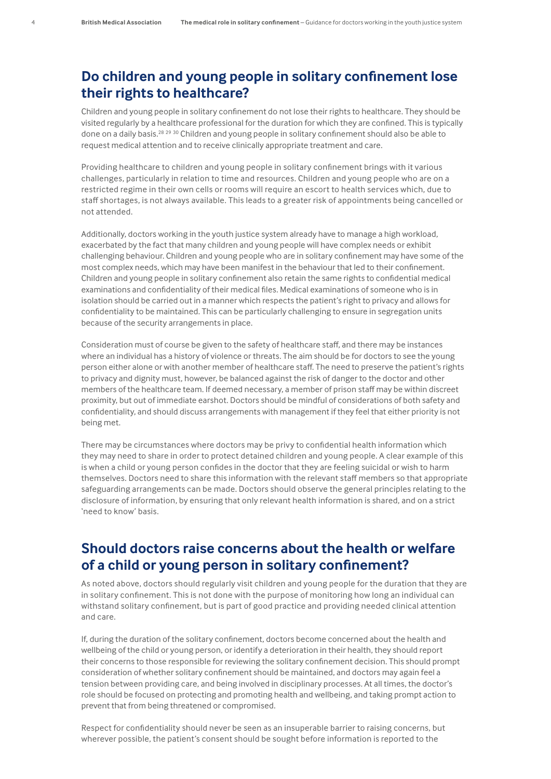#### **Do children and young people in solitary confinement lose their rights to healthcare?**

Children and young people in solitary confinement do not lose their rights to healthcare. They should be visited regularly by a healthcare professional for the duration for which they are confined. This is typically done on a daily basis.28 <sup>29</sup> <sup>30</sup> Children and young people in solitary confinement should also be able to request medical attention and to receive clinically appropriate treatment and care.

Providing healthcare to children and young people in solitary confinement brings with it various challenges, particularly in relation to time and resources. Children and young people who are on a restricted regime in their own cells or rooms will require an escort to health services which, due to staff shortages, is not always available. This leads to a greater risk of appointments being cancelled or not attended.

Additionally, doctors working in the youth justice system already have to manage a high workload, exacerbated by the fact that many children and young people will have complex needs or exhibit challenging behaviour. Children and young people who are in solitary confinement may have some of the most complex needs, which may have been manifest in the behaviour that led to their confinement. Children and young people in solitary confinement also retain the same rights to confidential medical examinations and confidentiality of their medical files. Medical examinations of someone who is in isolation should be carried out in a manner which respects the patient's right to privacy and allows for confidentiality to be maintained. This can be particularly challenging to ensure in segregation units because of the security arrangements in place.

Consideration must of course be given to the safety of healthcare staff, and there may be instances where an individual has a history of violence or threats. The aim should be for doctors to see the young person either alone or with another member of healthcare staff. The need to preserve the patient's rights to privacy and dignity must, however, be balanced against the risk of danger to the doctor and other members of the healthcare team. If deemed necessary, a member of prison staff may be within discreet proximity, but out of immediate earshot. Doctors should be mindful of considerations of both safety and confidentiality, and should discuss arrangements with management if they feel that either priority is not being met.

There may be circumstances where doctors may be privy to confidential health information which they may need to share in order to protect detained children and young people. A clear example of this is when a child or young person confides in the doctor that they are feeling suicidal or wish to harm themselves. Doctors need to share this information with the relevant staff members so that appropriate safeguarding arrangements can be made. Doctors should observe the general principles relating to the disclosure of information, by ensuring that only relevant health information is shared, and on a strict 'need to know' basis.

#### **Should doctors raise concerns about the health or welfare of a child or young person in solitary confinement?**

As noted above, doctors should regularly visit children and young people for the duration that they are in solitary confinement. This is not done with the purpose of monitoring how long an individual can withstand solitary confinement, but is part of good practice and providing needed clinical attention and care.

If, during the duration of the solitary confinement, doctors become concerned about the health and wellbeing of the child or young person, or identify a deterioration in their health, they should report their concerns to those responsible for reviewing the solitary confinement decision. This should prompt consideration of whether solitary confinement should be maintained, and doctors may again feel a tension between providing care, and being involved in disciplinary processes. At all times, the doctor's role should be focused on protecting and promoting health and wellbeing, and taking prompt action to prevent that from being threatened or compromised.

Respect for confidentiality should never be seen as an insuperable barrier to raising concerns, but wherever possible, the patient's consent should be sought before information is reported to the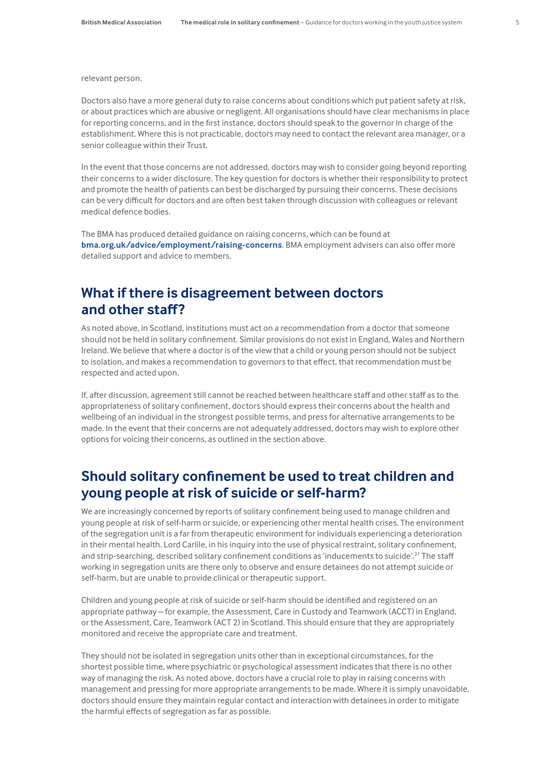relevant person.

Doctors also have a more general duty to raise concerns about conditions which put patient safety at risk, or about practices which are abusive or negligent. All organisations should have clear mechanisms in place for reporting concerns, and in the first instance, doctors should speak to the governor in charge of the establishment. Where this is not practicable, doctors may need to contact the relevant area manager, or a senior colleague within their Trust.

In the event that those concerns are not addressed, doctors may wish to consider going beyond reporting their concerns to a wider disclosure. The key question for doctors is whether their responsibility to protect and promote the health of patients can best be discharged by pursuing their concerns. These decisions can be very difficult for doctors and are often best taken through discussion with colleagues or relevant medical defence bodies.

The BMA has produced detailed guidance on raising concerns, which can be found at **[bma.org.uk/advice/employment/raising-concerns](https://www.bma.org.uk/advice/employment/raising-concerns)**. BMA employment advisers can also offer more detailed support and advice to members.

#### **What if there is disagreement between doctors and other staff?**

As noted above, in Scotland, institutions must act on a recommendation from a doctor that someone should not be held in solitary confinement. Similar provisions do not exist in England, Wales and Northern Ireland. We believe that where a doctor is of the view that a child or young person should not be subject to isolation, and makes a recommendation to governors to that effect, that recommendation must be respected and acted upon.

If, after discussion, agreement still cannot be reached between healthcare staff and other staff as to the appropriateness of solitary confinement, doctors should express their concerns about the health and wellbeing of an individual in the strongest possible terms, and press for alternative arrangements to be made. In the event that their concerns are not adequately addressed, doctors may wish to explore other options for voicing their concerns, as outlined in the section above.

### **Should solitary confinement be used to treat children and young people at risk of suicide or self-harm?**

We are increasingly concerned by reports of solitary confinement being used to manage children and young people at risk of self-harm or suicide, or experiencing other mental health crises. The environment of the segregation unit is a far from therapeutic environment for individuals experiencing a deterioration in their mental health. Lord Carlile, in his inquiry into the use of physical restraint, solitary confinement, and strip-searching, described solitary confinement conditions as 'inducements to suicide'.<sup>31</sup> The staff working in segregation units are there only to observe and ensure detainees do not attempt suicide or self-harm, but are unable to provide clinical or therapeutic support.

Children and young people at risk of suicide or self-harm should be identified and registered on an appropriate pathway – for example, the Assessment, Care in Custody and Teamwork (ACCT) in England, or the Assessment, Care, Teamwork (ACT 2) in Scotland. This should ensure that they are appropriately monitored and receive the appropriate care and treatment.

They should not be isolated in segregation units other than in exceptional circumstances, for the shortest possible time, where psychiatric or psychological assessment indicates that there is no other way of managing the risk. As noted above, doctors have a crucial role to play in raising concerns with management and pressing for more appropriate arrangements to be made. Where it is simply unavoidable, doctors should ensure they maintain regular contact and interaction with detainees in order to mitigate the harmful effects of segregation as far as possible.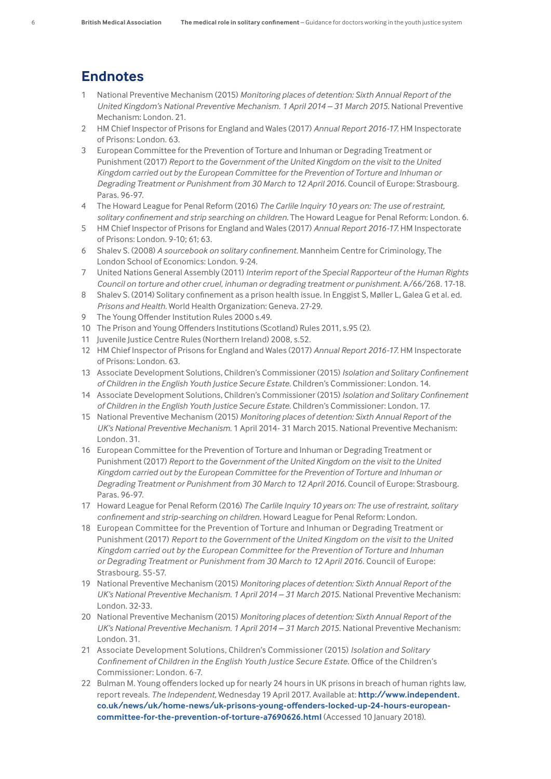#### **Endnotes**

- 1 National Preventive Mechanism (2015) *Monitoring places of detention: Sixth Annual Report of the*  United Kingdom's National Preventive Mechanism. 1 April 2014 - 31 March 2015. National Preventive Mechanism: London. 21.
- 2 HM Chief Inspector of Prisons for England and Wales (2017) *Annual Report 2016-17.* HM Inspectorate of Prisons: London. 63.
- 3 European Committee for the Prevention of Torture and Inhuman or Degrading Treatment or Punishment (2017) *Report to the Government of the United Kingdom on the visit to the United Kingdom carried out by the European Committee for the Prevention of Torture and Inhuman or Degrading Treatment or Punishment from 30 March to 12 April 2016*. Council of Europe: Strasbourg. Paras. 96-97.
- 4 The Howard League for Penal Reform (2016) *The Carlile Inquiry 10 years on: The use of restraint, solitary confinement and strip searching on children.* The Howard League for Penal Reform: London. 6.
- 5 HM Chief Inspector of Prisons for England and Wales (2017) *Annual Report 2016-17.* HM Inspectorate of Prisons: London. 9-10; 61; 63.
- 6 Shalev S. (2008) *A sourcebook on solitary confinement.* Mannheim Centre for Criminology, The London School of Economics: London. 9-24.
- 7 United Nations General Assembly (2011) *Interim report of the Special Rapporteur of the Human Rights Council on torture and other cruel, inhuman or degrading treatment or punishment.* A/66/268. 17-18.
- 8 Shalev S. (2014) Solitary confinement as a prison health issue. In Enggist S, Møller L, Galea G et al. ed. *Prisons and Health.* World Health Organization: Geneva. 27-29.
- 9 The Young Offender Institution Rules 2000 s.49.
- 10 The Prison and Young Offenders Institutions (Scotland) Rules 2011, s.95 (2).
- 11 Juvenile Justice Centre Rules (Northern Ireland) 2008, s.52.
- 12 HM Chief Inspector of Prisons for England and Wales (2017) *Annual Report 2016-17.* HM Inspectorate of Prisons: London. 63.
- 13 Associate Development Solutions, Children's Commissioner (2015) *Isolation and Solitary Confinement of Children in the English Youth Justice Secure Estate*. Children's Commissioner: London. 14.
- 14 Associate Development Solutions, Children's Commissioner (2015) *Isolation and Solitary Confinement of Children in the English Youth Justice Secure Estate*. Children's Commissioner: London. 17.
- 15 National Preventive Mechanism (2015) *Monitoring places of detention: Sixth Annual Report of the UK's National Preventive Mechanism*. 1 April 2014- 31 March 2015. National Preventive Mechanism: London. 31.
- 16 European Committee for the Prevention of Torture and Inhuman or Degrading Treatment or Punishment (2017) *Report to the Government of the United Kingdom on the visit to the United Kingdom carried out by the European Committee for the Prevention of Torture and Inhuman or Degrading Treatment or Punishment from 30 March to 12 April 2016*. Council of Europe: Strasbourg. Paras. 96-97.
- 17 Howard League for Penal Reform (2016) *The Carlile Inquiry 10 years on: The use of restraint, solitary confinement and strip-searching on children*. Howard League for Penal Reform: London.
- 18 European Committee for the Prevention of Torture and Inhuman or Degrading Treatment or Punishment (2017) *Report to the Government of the United Kingdom on the visit to the United Kingdom carried out by the European Committee for the Prevention of Torture and Inhuman or Degrading Treatment or Punishment from 30 March to 12 April 2016*. Council of Europe: Strasbourg. 55-57.
- 19 National Preventive Mechanism (2015) *Monitoring places of detention: Sixth Annual Report of the UK's National Preventive Mechanism. 1 April 2014 – 31 March 2015*. National Preventive Mechanism: London. 32-33.
- 20 National Preventive Mechanism (2015) *Monitoring places of detention: Sixth Annual Report of the UK's National Preventive Mechanism. 1 April 2014 – 31 March 2015*. National Preventive Mechanism: London. 31.
- 21 Associate Development Solutions, Children's Commissioner (2015) *Isolation and Solitary Confinement of Children in the English Youth Justice Secure Estate*. Office of the Children's Commissioner: London. 6-7.
- 22 Bulman M. Young offenders locked up for nearly 24 hours in UK prisons in breach of human rights law, report reveals. *The Independent*, Wednesday 19 April 2017. Available at: **[http://www.independent.](http://www.independent.co.uk/news/uk/home-news/uk-prisons-young-offenders-locked-up-24-hours-european-committee-for-the-prevention-of-torture-a7690626.html) [co.uk/news/uk/home-news/uk-prisons-young-offenders-locked-up-24-hours-european](http://www.independent.co.uk/news/uk/home-news/uk-prisons-young-offenders-locked-up-24-hours-european-committee-for-the-prevention-of-torture-a7690626.html)[committee-for-the-prevention-of-torture-a7690626.html](http://www.independent.co.uk/news/uk/home-news/uk-prisons-young-offenders-locked-up-24-hours-european-committee-for-the-prevention-of-torture-a7690626.html)** (Accessed 10 January 2018).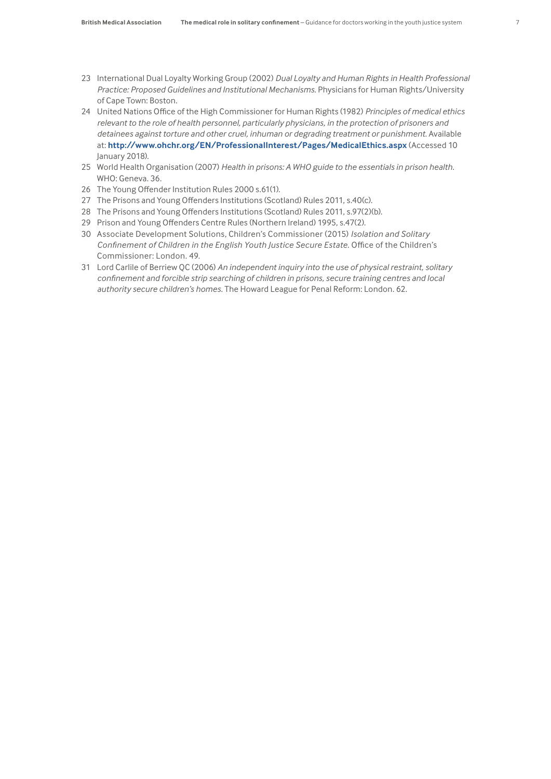- 23 International Dual Loyalty Working Group (2002) *Dual Loyalty and Human Rights in Health Professional Practice: Proposed Guidelines and Institutional Mechanisms*. Physicians for Human Rights/University of Cape Town: Boston.
- 24 United Nations Office of the High Commissioner for Human Rights (1982) *Principles of medical ethics relevant to the role of health personnel, particularly physicians, in the protection of prisoners and detainees against torture and other cruel, inhuman or degrading treatment or punishment*. Available at: **<http://www.ohchr.org/EN/ProfessionalInterest/Pages/MedicalEthics.aspx>** (Accessed 10 January 2018).
- 25 World Health Organisation (2007) *Health in prisons: A WHO guide to the essentials in prison health*. WHO: Geneva. 36.
- 26 The Young Offender Institution Rules 2000 s.61(1).
- 27 The Prisons and Young Offenders Institutions (Scotland) Rules 2011, s.40(c).
- 28 The Prisons and Young Offenders Institutions (Scotland) Rules 2011, s.97(2)(b).
- 29 Prison and Young Offenders Centre Rules (Northern Ireland) 1995, s.47(2).
- 30 Associate Development Solutions, Children's Commissioner (2015) *Isolation and Solitary Confinement of Children in the English Youth Justice Secure Estate*. Office of the Children's Commissioner: London. 49.
- 31 Lord Carlile of Berriew QC (2006) *An independent inquiry into the use of physical restraint, solitary confinement and forcible strip searching of children in prisons, secure training centres and local authority secure children's homes.* The Howard League for Penal Reform: London. 62.